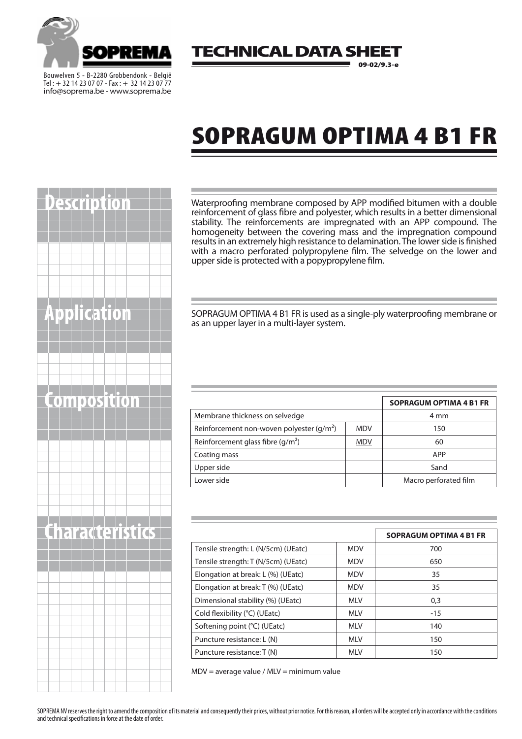

Bouwelven 5 - B-2280 Grobbendonk - België Tel : + 32 14 23 07 07 - Fax: + 32 14 23 07 77 info@soprema.be - www.soprema.be

#### 'ECHNICAL DATA SH 09-02/9.3-e

# SOPRAGUM OPTIMA 4 B1 FR

|  |  | <b>Description</b>     |  |  |  |  |
|--|--|------------------------|--|--|--|--|
|  |  |                        |  |  |  |  |
|  |  |                        |  |  |  |  |
|  |  |                        |  |  |  |  |
|  |  |                        |  |  |  |  |
|  |  |                        |  |  |  |  |
|  |  |                        |  |  |  |  |
|  |  |                        |  |  |  |  |
|  |  | <b>Application</b>     |  |  |  |  |
|  |  |                        |  |  |  |  |
|  |  |                        |  |  |  |  |
|  |  |                        |  |  |  |  |
|  |  |                        |  |  |  |  |
|  |  |                        |  |  |  |  |
|  |  | Composition            |  |  |  |  |
|  |  |                        |  |  |  |  |
|  |  |                        |  |  |  |  |
|  |  |                        |  |  |  |  |
|  |  |                        |  |  |  |  |
|  |  |                        |  |  |  |  |
|  |  |                        |  |  |  |  |
|  |  |                        |  |  |  |  |
|  |  |                        |  |  |  |  |
|  |  | <b>Characteristics</b> |  |  |  |  |
|  |  |                        |  |  |  |  |
|  |  |                        |  |  |  |  |
|  |  |                        |  |  |  |  |
|  |  |                        |  |  |  |  |
|  |  |                        |  |  |  |  |
|  |  |                        |  |  |  |  |
|  |  |                        |  |  |  |  |
|  |  |                        |  |  |  |  |
|  |  |                        |  |  |  |  |
|  |  |                        |  |  |  |  |
|  |  |                        |  |  |  |  |

Waterproofing membrane composed by APP modified bitumen with a double reinforcement of glass fibre and polyester, which results in a better dimensional stability. The reinforcements are impregnated with an APP compound. The homogeneity between the covering mass and the impregnation compound results in an extremely high resistance to delamination. The lower side is finished with a macro perforated polypropylene film. The selvedge on the lower and upper side is protected with a popypropylene film.

SOPRAGUM OPTIMA 4 B1 FR is used as a single-ply waterproofing membrane or as an upper layer in a multi-layer system.

| composition |                                            |            | <b>SOPRAGUM OPTIMA 4 B1 FR</b> |
|-------------|--------------------------------------------|------------|--------------------------------|
|             | Membrane thickness on selvedge             | 4 mm       |                                |
|             | Reinforcement non-woven polyester $(g/m2)$ | <b>MDV</b> | 150                            |
|             | Reinforcement glass fibre $(g/m2)$         | <b>MDV</b> | 60                             |
|             | Coating mass                               |            | APP                            |
|             | Upper side                                 |            | Sand                           |
|             | Lower side                                 |            | Macro perforated film          |

|                                     |            | <b>SOPRAGUM OPTIMA 4 B1 FR</b> |
|-------------------------------------|------------|--------------------------------|
| Tensile strength: L (N/5cm) (UEatc) | <b>MDV</b> | 700                            |
| Tensile strength: T (N/5cm) (UEatc) | <b>MDV</b> | 650                            |
| Elongation at break: L (%) (UEatc)  | <b>MDV</b> | 35                             |
| Elongation at break: T (%) (UEatc)  | <b>MDV</b> | 35                             |
| Dimensional stability (%) (UEatc)   | <b>MLV</b> | 0,3                            |
| Cold flexibility (°C) (UEatc)       | <b>MLV</b> | $-15$                          |
| Softening point (°C) (UEatc)        | <b>MLV</b> | 140                            |
| Puncture resistance: L (N)          | <b>MLV</b> | 150                            |
| Puncture resistance: T (N)          | <b>MLV</b> | 150                            |

MDV = average value / MLV = minimum value

SOPREMA NV reserves the right to amend the composition of its material and consequently their prices, without prior notice. For this reason, all orders will be accepted only in accordance with the conditions and technical specifications in force at the date of order.